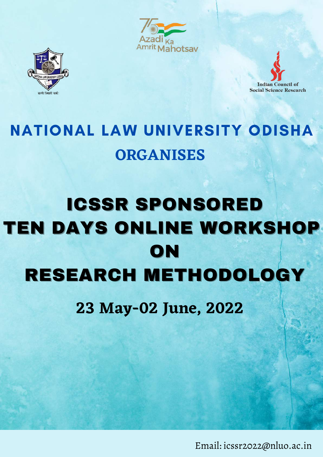





## NATIONAL LAW UNIVERSITY ODISHA **ORGANISES**

# ICSSR SPONSORED TEN DAYS ONLINE WORKSHOP **ON** RESEARCH METHODOLOGY

**23 May-02 June, 2022**

Email: icssr2022@nluo.ac.in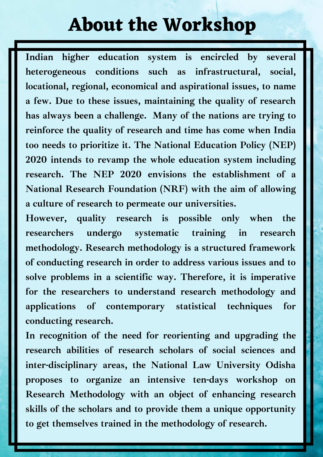## **About the Workshop**

**Indian higher education system is encircled by several heterogeneous conditions such as infrastructural, social, locational, regional, economical and aspirational issues, to name a few. Due to these issues, maintaining the quality of research has always been a challenge. Many of the nations are trying to reinforce the quality of research and time has come when India too needs to prioritize it. The National Education Policy (NEP) 2020 intends to revamp the whole education system including research. The NEP 2020 envisions the establishment of a National Research Foundation (NRF) with the aim of allowing a culture of research to permeate our universities.**

**However, quality research is possible only when the researchers undergo systematic training in research methodology. Research methodology is a structured framework of conducting research in order to address various issues and to solve problems in a scientific way. Therefore, it is imperative for the researchers to understand research methodology and applications of contemporary statistical techniques for conducting research.**

**In recognition of the need for reorienting and upgrading the research abilities of research scholars of social sciences and inter-disciplinary areas, the National Law University Odisha proposes to organize an intensive ten-days workshop on Research Methodology with an object of enhancing research skills of the scholars and to provide them a unique opportunity to get themselves trained in the methodology of research.**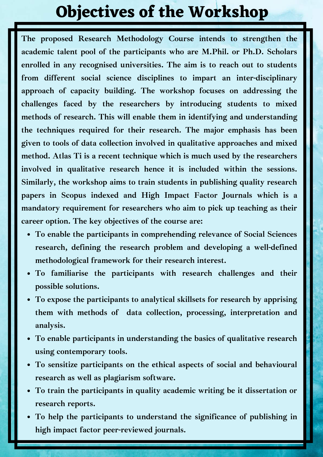### **Objectives of the Workshop**

**The proposed Research Methodology Course intends to strengthen the academic talent pool of the participants who are M.Phil. or Ph.D. Scholars enrolled in any recognised universities. The aim is to reach out to students from different social science disciplines to impart an inter-disciplinary approach of capacity building. The workshop focuses on addressing the challenges faced by the researchers by introducing students to mixed methods of research. This will enable them in identifying and understanding the techniques required for their research. The major emphasis has been given to tools of data collection involved in qualitative approaches and mixed method. Atlas Ti is a recent technique which is much used by the researchers involved in qualitative research hence it is included within the sessions. Similarly, the workshop aims to train students in publishing quality research papers in Scopus indexed and High Impact Factor Journals which is a mandatory requirement for researchers who aim to pick up teaching as their career option. The key objectives of the course are:**

- **To enable the participants in comprehending relevance of Social Sciences research, defining the research problem and developing a well-defined methodological framework for their research interest.**
- **To familiarise the participants with research challenges and their possible solutions.**
- **To expose the participants to analytical skillsets for research by apprising them with methods of data collection, processing, interpretation and analysis.**
- **To enable participants in understanding the basics of qualitative research using contemporary tools.**
- **To sensitize participants on the ethical aspects of social and behavioural research as well as plagiarism software.**
- **To train the participants in quality academic writing be it dissertation or research reports.**
- **To help the participants to understand the significance of publishing in high impact factor peer-reviewed journals.**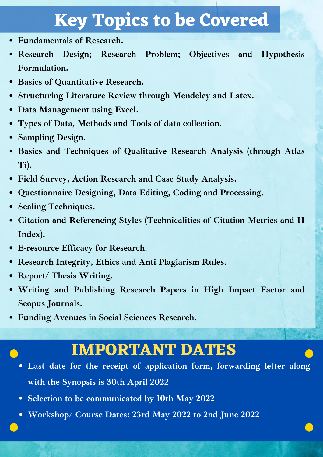## **Key Topics to be Covered**

- **Fundamentals of Research.**
- **Research Design; Research Problem; Objectives and Hypothesis Formulation.**
- **Basics of Quantitative Research.**
- **Structuring Literature Review through Mendeley and Latex.**
- **Data Management using Excel.**
- **Types of Data, Methods and Tools of data collection.**
- **Sampling Design.**
- **Basics and Techniques of Qualitative Research Analysis (through Atlas Ti).**
- **Field Survey, Action Research and Case Study Analysis.**
- **Questionnaire Designing, Data Editing, Coding and Processing.**
- **Scaling Techniques.**
- **Citation and Referencing Styles (Technicalities of Citation Metrics and H Index).**
- **E-resource Efficacy for Research.**
- **Research Integrity, Ethics and Anti Plagiarism Rules.**
- **Report/ Thesis Writing.**
- **Writing and Publishing Research Papers in High Impact Factor and Scopus Journals.**
- **Funding Avenues in Social Sciences Research.**

### **IMPORTANT DATES**

- **Last date for the receipt of application form, forwarding letter along with the Synopsis is 30th April 2022**
- **Selection to be communicated by 10th May 2022**
- **Workshop/ Course Dates: 23rd May 2022 to 2nd June 2022**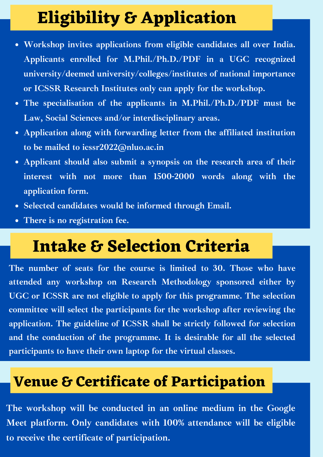## **Eligibility & Application**

- **Workshop invites applications from eligible candidates all over India. Applicants enrolled for M.Phil./Ph.D./PDF in a UGC recognized university/deemed university/colleges/institutes of national importance or ICSSR Research Institutes only can apply for the workshop.**
- **The specialisation of the applicants in M.Phil./Ph.D./PDF must be Law, Social Sciences and/or interdisciplinary areas.**
- **Application along with forwarding letter from the affiliated institution to be mailed to icssr2022@nluo.ac.in**
- **Applicant should also submit a synopsis on the research area of their interest with not more than 1500-2000 words along with the application form.**
- **Selected candidates would be informed through Email.**
- **There is no registration fee.**

## **Intake & Selection Criteria**

**The number of seats for the course is limited to 30. Those who have attended any workshop on Research Methodology sponsored either by UGC or ICSSR are not eligible to apply for this programme. The selection committee will select the participants for the workshop after reviewing the application. The guideline of ICSSR shall be strictly followed for selection and the conduction of the programme. It is desirable for all the selected participants to have their own laptop for the virtual classes.**

### **Venue & Certificate of Participation**

**The workshop will be conducted in an online medium in the Google Meet platform. Only candidates with 100% attendance will be eligible to receive the certificate of participation.**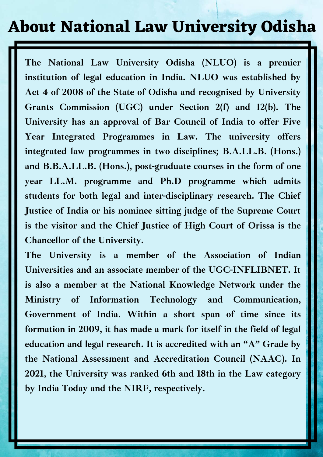### **About National Law University Odisha**

**The National Law University Odisha (NLUO) is a premier institution of legal education in India. NLUO was established by Act 4 of 2008 of the State of Odisha and recognised by University Grants Commission (UGC) under Section 2(f) and 12(b). The University has an approval of Bar Council of India to offer Five Year Integrated Programmes in Law. The university offers integrated law programmes in two disciplines; B.A.LL.B. (Hons.) and B.B.A.LL.B. (Hons.), post-graduate courses in the form of one year LL.M. programme and Ph.D programme which admits students for both legal and inter-disciplinary research. The Chief Justice of India or his nominee sitting judge of the Supreme Court is the visitor and the Chief Justice of High Court of Orissa is the Chancellor of the University.**

**The University is a member of the Association of Indian Universities and an associate member of the UGC-INFLIBNET. It is also a member at the National Knowledge Network under the Ministry of Information Technology and Communication, Government of India. Within a short span of time since its formation in 2009, it has made a mark for itself in the field of legal education and legal research. It is accredited with an "A" Grade by the National Assessment and Accreditation Council (NAAC). In 2021, the University was ranked 6th and 18th in the Law category by India Today and the NIRF, respectively.**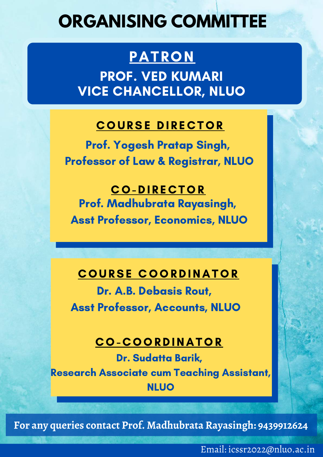## **ORGANISING COMMITTEE**

### PATRON

PROF. VED KUMARI VICE CHANCELLOR, NLUO

#### COURSE DIRECTOR

Prof. Yogesh Pratap Singh, Professor of Law & Registrar, NLUO

### CO-DIRECTOR

Prof. Madhubrata Rayasingh, Asst Professor, Economics, NLUO

### COURSE COORDINATOR

Dr. A.B. Debasis Rout, Asst Professor, Accounts, NLUO

### CO-COORDINATOR

Dr. Sudatta Barik, Research Associate cum Teaching Assistant, **NLUO** 

**For any queries contact Prof. Madhubrata Rayasingh: 9439912624**

Email: icssr2022@nluo.ac.in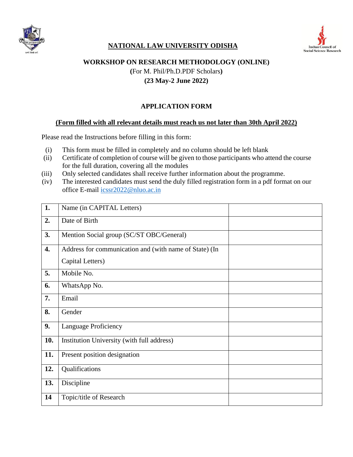



#### **NATIONAL LAW UNIVERSITY ODISHA**

#### **WORKSHOP ON RESEARCH METHODOLOGY (ONLINE)**

**(**For M. Phil/Ph.D.PDF Scholars**) (23 May-2 June 2022)**

#### **APPLICATION FORM**

#### **(Form filled with all relevant details must reach us not later than 30th April 2022)**

Please read the Instructions before filling in this form:

- (i) This form must be filled in completely and no column should be left blank
- (ii) Certificate of completion of course will be given to those participants who attend the course for the full duration, covering all the modules
- (iii) Only selected candidates shall receive further information about the programme.
- (iv) The interested candidates must send the duly filled registration form in a pdf format on our office E-mail [icssr2022@nluo.ac.in](mailto:icssr2022@nluo.ac.in)

| 1.                 | Name (in CAPITAL Letters)                              |  |
|--------------------|--------------------------------------------------------|--|
| 2.                 | Date of Birth                                          |  |
| 3.                 | Mention Social group (SC/ST OBC/General)               |  |
| $\boldsymbol{4}$ . | Address for communication and (with name of State) (In |  |
|                    | Capital Letters)                                       |  |
| 5.                 | Mobile No.                                             |  |
| 6.                 | WhatsApp No.                                           |  |
| 7.                 | Email                                                  |  |
| 8.                 | Gender                                                 |  |
| 9.                 | Language Proficiency                                   |  |
| 10.                | Institution University (with full address)             |  |
| 11.                | Present position designation                           |  |
| 12.                | Qualifications                                         |  |
| 13.                | Discipline                                             |  |
| 14                 | Topic/title of Research                                |  |